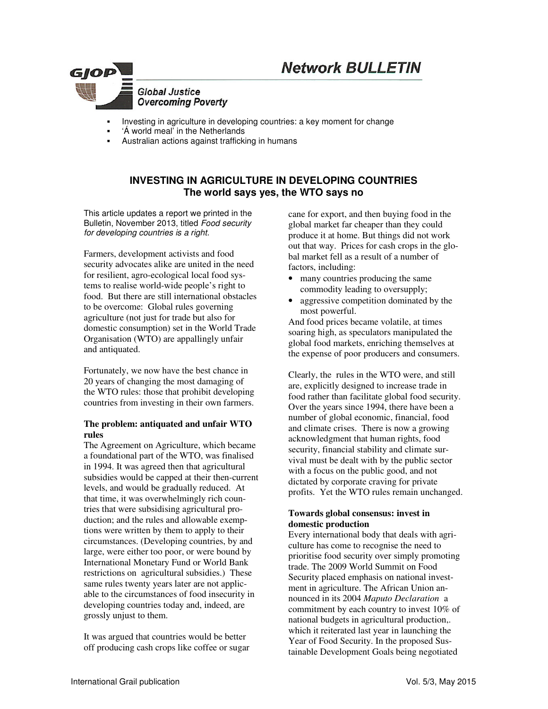# **Network BULLETIN**



- Investing in agriculture in developing countries: a key moment for change
- 'Á world meal' in the Netherlands
- Australian actions against trafficking in humans

# **INVESTING IN AGRICULTURE IN DEVELOPING COUNTRIES The world says yes, the WTO says no**

This article updates a report we printed in the Bulletin, November 2013, titled *Food security for developing countries is a right.* 

Farmers, development activists and food security advocates alike are united in the need for resilient, agro-ecological local food systems to realise world-wide people's right to food. But there are still international obstacles to be overcome: Global rules governing agriculture (not just for trade but also for domestic consumption) set in the World Trade Organisation (WTO) are appallingly unfair and antiquated.

Fortunately, we now have the best chance in 20 years of changing the most damaging of the WTO rules: those that prohibit developing countries from investing in their own farmers.

## **The problem: antiquated and unfair WTO rules**

The Agreement on Agriculture, which became a foundational part of the WTO, was finalised in 1994. It was agreed then that agricultural subsidies would be capped at their then-current levels, and would be gradually reduced. At that time, it was overwhelmingly rich countries that were subsidising agricultural production; and the rules and allowable exemptions were written by them to apply to their circumstances. (Developing countries, by and large, were either too poor, or were bound by International Monetary Fund or World Bank restrictions on agricultural subsidies.) These same rules twenty years later are not applicable to the circumstances of food insecurity in developing countries today and, indeed, are grossly unjust to them.

It was argued that countries would be better off producing cash crops like coffee or sugar cane for export, and then buying food in the global market far cheaper than they could produce it at home. But things did not work out that way. Prices for cash crops in the global market fell as a result of a number of factors, including:

- many countries producing the same commodity leading to oversupply;
- aggressive competition dominated by the most powerful.

And food prices became volatile, at times soaring high, as speculators manipulated the global food markets, enriching themselves at the expense of poor producers and consumers.

Clearly, the rules in the WTO were, and still are, explicitly designed to increase trade in food rather than facilitate global food security. Over the years since 1994, there have been a number of global economic, financial, food and climate crises. There is now a growing acknowledgment that human rights, food security, financial stability and climate survival must be dealt with by the public sector with a focus on the public good, and not dictated by corporate craving for private profits. Yet the WTO rules remain unchanged.

# **Towards global consensus: invest in domestic production**

Every international body that deals with agriculture has come to recognise the need to prioritise food security over simply promoting trade. The 2009 World Summit on Food Security placed emphasis on national investment in agriculture. The African Union announced in its 2004 *Maputo Declaration* a commitment by each country to invest 10% of national budgets in agricultural production,. which it reiterated last year in launching the Year of Food Security. In the proposed Sustainable Development Goals being negotiated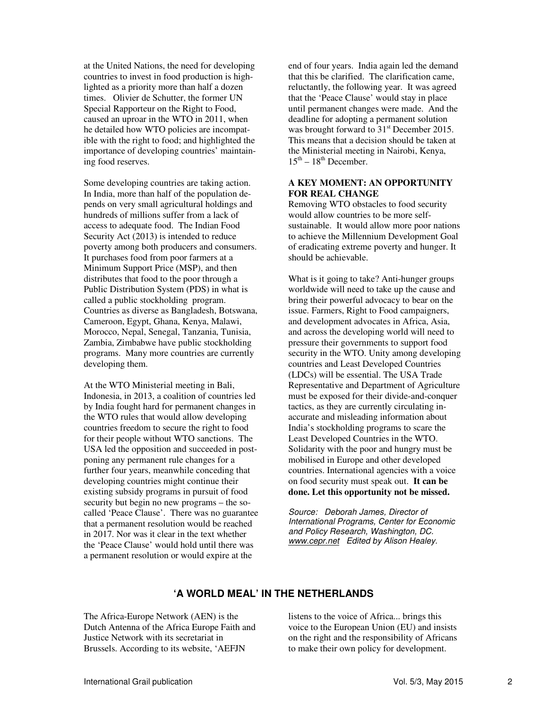at the United Nations, the need for developing countries to invest in food production is highlighted as a priority more than half a dozen times. Olivier de Schutter, the former UN Special Rapporteur on the Right to Food, caused an uproar in the WTO in 2011, when he detailed how WTO policies are incompatible with the right to food; and highlighted the importance of developing countries' maintaining food reserves.

Some developing countries are taking action. In India, more than half of the population depends on very small agricultural holdings and hundreds of millions suffer from a lack of access to adequate food. The Indian Food Security Act (2013) is intended to reduce poverty among both producers and consumers. It purchases food from poor farmers at a Minimum Support Price (MSP), and then distributes that food to the poor through a Public Distribution System (PDS) in what is called a public stockholding program. Countries as diverse as Bangladesh, Botswana, Cameroon, Egypt, Ghana, Kenya, Malawi, Morocco, Nepal, Senegal, Tanzania, Tunisia, Zambia, Zimbabwe have public stockholding programs. Many more countries are currently developing them.

At the WTO Ministerial meeting in Bali, Indonesia, in 2013, a coalition of countries led by India fought hard for permanent changes in the WTO rules that would allow developing countries freedom to secure the right to food for their people without WTO sanctions. The USA led the opposition and succeeded in postponing any permanent rule changes for a further four years, meanwhile conceding that developing countries might continue their existing subsidy programs in pursuit of food security but begin no new programs – the socalled 'Peace Clause'. There was no guarantee that a permanent resolution would be reached in 2017. Nor was it clear in the text whether the 'Peace Clause' would hold until there was a permanent resolution or would expire at the

end of four years. India again led the demand that this be clarified. The clarification came, reluctantly, the following year. It was agreed that the 'Peace Clause' would stay in place until permanent changes were made. And the deadline for adopting a permanent solution was brought forward to  $31<sup>st</sup>$  December 2015. This means that a decision should be taken at the Ministerial meeting in Nairobi, Kenya,  $15<sup>th</sup> - 18<sup>th</sup>$  December.

## **A KEY MOMENT: AN OPPORTUNITY FOR REAL CHANGE**

Removing WTO obstacles to food security would allow countries to be more selfsustainable. It would allow more poor nations to achieve the Millennium Development Goal of eradicating extreme poverty and hunger. It should be achievable.

What is it going to take? Anti-hunger groups worldwide will need to take up the cause and bring their powerful advocacy to bear on the issue. Farmers, Right to Food campaigners, and development advocates in Africa, Asia, and across the developing world will need to pressure their governments to support food security in the WTO. Unity among developing countries and Least Developed Countries (LDCs) will be essential. The USA Trade Representative and Department of Agriculture must be exposed for their divide-and-conquer tactics, as they are currently circulating inaccurate and misleading information about India's stockholding programs to scare the Least Developed Countries in the WTO. Solidarity with the poor and hungry must be mobilised in Europe and other developed countries. International agencies with a voice on food security must speak out. **It can be done. Let this opportunity not be missed.** 

*Source: Deborah James, Director of International Programs, Center for Economic and Policy Research, Washington, DC. www.cepr.net Edited by Alison Healey.* 

# **'A WORLD MEAL' IN THE NETHERLANDS**

The Africa-Europe Network (AEN) is the Dutch Antenna of the Africa Europe Faith and Justice Network with its secretariat in Brussels. According to its website, 'AEFJN

listens to the voice of Africa... brings this voice to the European Union (EU) and insists on the right and the responsibility of Africans to make their own policy for development.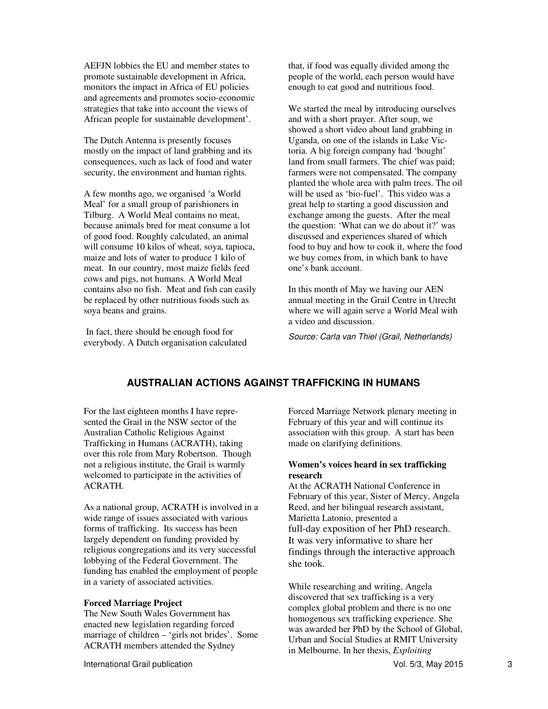AEFJN lobbies the EU and member states to promote sustainable development in Africa, monitors the impact in Africa of EU policies and agreements and promotes socio-economic strategies that take into account the views of African people for sustainable development'.

The Dutch Antenna is presently focuses mostly on the impact of land grabbing and its consequences, such as lack of food and water security, the environment and human rights.

A few months ago, we organised 'a World Meal' for a small group of parishioners in Tilburg. A World Meal contains no meat, because animals bred for meat consume a lot of good food. Roughly calculated, an animal will consume 10 kilos of wheat, soya, tapioca, maize and lots of water to produce 1 kilo of meat. In our country, most maize fields feed cows and pigs, not humans. A World Meal contains also no fish. Meat and fish can easily be replaced by other nutritious foods such as soya beans and grains.

 In fact, there should be enough food for everybody. A Dutch organisation calculated that, if food was equally divided among the people of the world, each person would have enough to eat good and nutritious food.

We started the meal by introducing ourselves and with a short prayer. After soup, we showed a short video about land grabbing in Uganda, on one of the islands in Lake Victoria. A big foreign company had 'bought' land from small farmers. The chief was paid; farmers were not compensated. The company planted the whole area with palm trees. The oil will be used as 'bio-fuel'. This video was a great help to starting a good discussion and exchange among the guests. After the meal the question: 'What can we do about it?' was discussed and experiences shared of which food to buy and how to cook it, where the food we buy comes from, in which bank to have one's bank account.

In this month of May we having our AEN annual meeting in the Grail Centre in Utrecht where we will again serve a World Meal with a video and discussion.

*Source: Carla van Thiel (Grail, Netherlands)* 

# **AUSTRALIAN ACTIONS AGAINST TRAFFICKING IN HUMANS**

For the last eighteen months I have represented the Grail in the NSW sector of the Australian Catholic Religious Against Trafficking in Humans (ACRATH), taking over this role from Mary Robertson. Though not a religious institute, the Grail is warmly welcomed to participate in the activities of ACRATH.

As a national group, ACRATH is involved in a wide range of issues associated with various forms of trafficking. Its success has been largely dependent on funding provided by religious congregations and its very successful lobbying of the Federal Government. The funding has enabled the employment of people in a variety of associated activities.

#### **Forced Marriage Project**

The New South Wales Government has enacted new legislation regarding forced marriage of children – 'girls not brides'. Some ACRATH members attended the Sydney

Forced Marriage Network plenary meeting in February of this year and will continue its association with this group. A start has been made on clarifying definitions.

### **Women's voices heard in sex trafficking research**

At the ACRATH National Conference in February of this year, Sister of Mercy, Angela Reed, and her bilingual research assistant, Marietta Latonio, presented a full-day exposition of her PhD research. It was very informative to share her findings through the interactive approach she took.

While researching and writing, Angela discovered that sex trafficking is a very complex global problem and there is no one homogenous sex trafficking experience. She was awarded her PhD by the School of Global, Urban and Social Studies at RMIT University in Melbourne. In her thesis, *Exploiting*